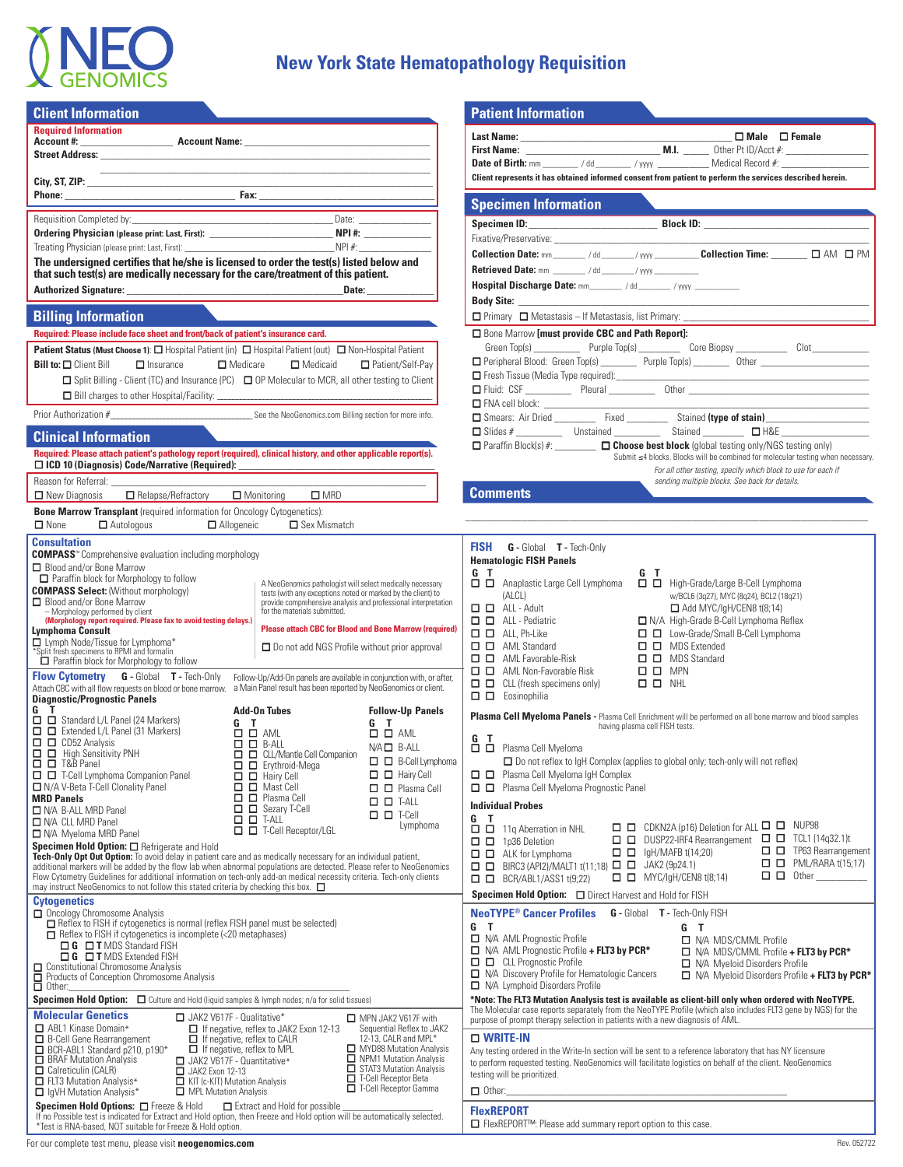

# **New York State Hematopathology Requisition**

| <b>Client Information</b>                                                                                                                                                                                                                                                                                                                                                                                                                                                                                                                                                                                                                                                                                                                                                                                                                                                                                                                                                                                                                                                                                                                                                                                                                                                                                                                                                                                                                                                                                                                                                                                                                                                                                                                                                                                                                                                                                                                                                                                                                                                                                                                                                                                                                                                                                                                                                                                                                                                                                                                                                                                                                                                        | <b>Patient Information</b>                                                                                                                                                                                                                                                                                                                                                                                                                                                                                                                                                                                                                                                                                                                                                                                                                                                                                                                                                                                                                                                                                                                                                                                                                                                                                                                                                                                                                                                                                                                                                                                                                                        |
|----------------------------------------------------------------------------------------------------------------------------------------------------------------------------------------------------------------------------------------------------------------------------------------------------------------------------------------------------------------------------------------------------------------------------------------------------------------------------------------------------------------------------------------------------------------------------------------------------------------------------------------------------------------------------------------------------------------------------------------------------------------------------------------------------------------------------------------------------------------------------------------------------------------------------------------------------------------------------------------------------------------------------------------------------------------------------------------------------------------------------------------------------------------------------------------------------------------------------------------------------------------------------------------------------------------------------------------------------------------------------------------------------------------------------------------------------------------------------------------------------------------------------------------------------------------------------------------------------------------------------------------------------------------------------------------------------------------------------------------------------------------------------------------------------------------------------------------------------------------------------------------------------------------------------------------------------------------------------------------------------------------------------------------------------------------------------------------------------------------------------------------------------------------------------------------------------------------------------------------------------------------------------------------------------------------------------------------------------------------------------------------------------------------------------------------------------------------------------------------------------------------------------------------------------------------------------------------------------------------------------------------------------------------------------------|-------------------------------------------------------------------------------------------------------------------------------------------------------------------------------------------------------------------------------------------------------------------------------------------------------------------------------------------------------------------------------------------------------------------------------------------------------------------------------------------------------------------------------------------------------------------------------------------------------------------------------------------------------------------------------------------------------------------------------------------------------------------------------------------------------------------------------------------------------------------------------------------------------------------------------------------------------------------------------------------------------------------------------------------------------------------------------------------------------------------------------------------------------------------------------------------------------------------------------------------------------------------------------------------------------------------------------------------------------------------------------------------------------------------------------------------------------------------------------------------------------------------------------------------------------------------------------------------------------------------------------------------------------------------|
| <b>Required Information</b>                                                                                                                                                                                                                                                                                                                                                                                                                                                                                                                                                                                                                                                                                                                                                                                                                                                                                                                                                                                                                                                                                                                                                                                                                                                                                                                                                                                                                                                                                                                                                                                                                                                                                                                                                                                                                                                                                                                                                                                                                                                                                                                                                                                                                                                                                                                                                                                                                                                                                                                                                                                                                                                      |                                                                                                                                                                                                                                                                                                                                                                                                                                                                                                                                                                                                                                                                                                                                                                                                                                                                                                                                                                                                                                                                                                                                                                                                                                                                                                                                                                                                                                                                                                                                                                                                                                                                   |
|                                                                                                                                                                                                                                                                                                                                                                                                                                                                                                                                                                                                                                                                                                                                                                                                                                                                                                                                                                                                                                                                                                                                                                                                                                                                                                                                                                                                                                                                                                                                                                                                                                                                                                                                                                                                                                                                                                                                                                                                                                                                                                                                                                                                                                                                                                                                                                                                                                                                                                                                                                                                                                                                                  | Client represents it has obtained informed consent from patient to perform the services described herein.                                                                                                                                                                                                                                                                                                                                                                                                                                                                                                                                                                                                                                                                                                                                                                                                                                                                                                                                                                                                                                                                                                                                                                                                                                                                                                                                                                                                                                                                                                                                                         |
|                                                                                                                                                                                                                                                                                                                                                                                                                                                                                                                                                                                                                                                                                                                                                                                                                                                                                                                                                                                                                                                                                                                                                                                                                                                                                                                                                                                                                                                                                                                                                                                                                                                                                                                                                                                                                                                                                                                                                                                                                                                                                                                                                                                                                                                                                                                                                                                                                                                                                                                                                                                                                                                                                  | Specimen Information <b>Speciment Information</b>                                                                                                                                                                                                                                                                                                                                                                                                                                                                                                                                                                                                                                                                                                                                                                                                                                                                                                                                                                                                                                                                                                                                                                                                                                                                                                                                                                                                                                                                                                                                                                                                                 |
|                                                                                                                                                                                                                                                                                                                                                                                                                                                                                                                                                                                                                                                                                                                                                                                                                                                                                                                                                                                                                                                                                                                                                                                                                                                                                                                                                                                                                                                                                                                                                                                                                                                                                                                                                                                                                                                                                                                                                                                                                                                                                                                                                                                                                                                                                                                                                                                                                                                                                                                                                                                                                                                                                  |                                                                                                                                                                                                                                                                                                                                                                                                                                                                                                                                                                                                                                                                                                                                                                                                                                                                                                                                                                                                                                                                                                                                                                                                                                                                                                                                                                                                                                                                                                                                                                                                                                                                   |
| Ordering Physician (please print: Last, First): _________________________________ NPI #: _____________________                                                                                                                                                                                                                                                                                                                                                                                                                                                                                                                                                                                                                                                                                                                                                                                                                                                                                                                                                                                                                                                                                                                                                                                                                                                                                                                                                                                                                                                                                                                                                                                                                                                                                                                                                                                                                                                                                                                                                                                                                                                                                                                                                                                                                                                                                                                                                                                                                                                                                                                                                                   |                                                                                                                                                                                                                                                                                                                                                                                                                                                                                                                                                                                                                                                                                                                                                                                                                                                                                                                                                                                                                                                                                                                                                                                                                                                                                                                                                                                                                                                                                                                                                                                                                                                                   |
| The undersigned certifies that he/she is licensed to order the test(s) listed below and<br>that such test(s) are medically necessary for the care/treatment of this patient.                                                                                                                                                                                                                                                                                                                                                                                                                                                                                                                                                                                                                                                                                                                                                                                                                                                                                                                                                                                                                                                                                                                                                                                                                                                                                                                                                                                                                                                                                                                                                                                                                                                                                                                                                                                                                                                                                                                                                                                                                                                                                                                                                                                                                                                                                                                                                                                                                                                                                                     | <b>Retrieved Date:</b> mm _______ / dd _______/ yyyy __________                                                                                                                                                                                                                                                                                                                                                                                                                                                                                                                                                                                                                                                                                                                                                                                                                                                                                                                                                                                                                                                                                                                                                                                                                                                                                                                                                                                                                                                                                                                                                                                                   |
| Date:                                                                                                                                                                                                                                                                                                                                                                                                                                                                                                                                                                                                                                                                                                                                                                                                                                                                                                                                                                                                                                                                                                                                                                                                                                                                                                                                                                                                                                                                                                                                                                                                                                                                                                                                                                                                                                                                                                                                                                                                                                                                                                                                                                                                                                                                                                                                                                                                                                                                                                                                                                                                                                                                            | Hospital Discharge Date: mm_______ / dd_______ / yyyy __________<br>Body Site: _                                                                                                                                                                                                                                                                                                                                                                                                                                                                                                                                                                                                                                                                                                                                                                                                                                                                                                                                                                                                                                                                                                                                                                                                                                                                                                                                                                                                                                                                                                                                                                                  |
| <b>Billing Information</b>                                                                                                                                                                                                                                                                                                                                                                                                                                                                                                                                                                                                                                                                                                                                                                                                                                                                                                                                                                                                                                                                                                                                                                                                                                                                                                                                                                                                                                                                                                                                                                                                                                                                                                                                                                                                                                                                                                                                                                                                                                                                                                                                                                                                                                                                                                                                                                                                                                                                                                                                                                                                                                                       | n Primary <b>D</b> Metastasis - If Metastasis, list Primary: 2008. 2009. 2010. 2010. 2010. 2010. 2010. 2010. 2010. 2010. 2010. 2010. 2010. 2010. 2010. 2010. 2010. 2010. 2010. 2010. 2010. 2010. 2010. 2010. 2010. 2010. 2010. 2010                                                                                                                                                                                                                                                                                                                                                                                                                                                                                                                                                                                                                                                                                                                                                                                                                                                                                                                                                                                                                                                                                                                                                                                                                                                                                                                                                                                                                               |
| Required: Please include face sheet and front/back of patient's insurance card.                                                                                                                                                                                                                                                                                                                                                                                                                                                                                                                                                                                                                                                                                                                                                                                                                                                                                                                                                                                                                                                                                                                                                                                                                                                                                                                                                                                                                                                                                                                                                                                                                                                                                                                                                                                                                                                                                                                                                                                                                                                                                                                                                                                                                                                                                                                                                                                                                                                                                                                                                                                                  | □ Bone Marrow [must provide CBC and Path Report]:                                                                                                                                                                                                                                                                                                                                                                                                                                                                                                                                                                                                                                                                                                                                                                                                                                                                                                                                                                                                                                                                                                                                                                                                                                                                                                                                                                                                                                                                                                                                                                                                                 |
| Patient Status (Must Choose 1): □ Hospital Patient (in) □ Hospital Patient (out) □ Non-Hospital Patient<br><b>Bill to: <math>\Box</math></b> Client Bill<br>$\Box$ Medicare<br>$\Box$ Insurance<br>□ Medicaid<br>□ Patient/Self-Pay<br>□ Split Billing - Client (TC) and Insurance (PC) □ OP Molecular to MCR, all other testing to Client                                                                                                                                                                                                                                                                                                                                                                                                                                                                                                                                                                                                                                                                                                                                                                                                                                                                                                                                                                                                                                                                                                                                                                                                                                                                                                                                                                                                                                                                                                                                                                                                                                                                                                                                                                                                                                                                                                                                                                                                                                                                                                                                                                                                                                                                                                                                       | Green Top(s) _____________ Purple Top(s) ____________ Core Biopsy ______________ Clot _____________                                                                                                                                                                                                                                                                                                                                                                                                                                                                                                                                                                                                                                                                                                                                                                                                                                                                                                                                                                                                                                                                                                                                                                                                                                                                                                                                                                                                                                                                                                                                                               |
|                                                                                                                                                                                                                                                                                                                                                                                                                                                                                                                                                                                                                                                                                                                                                                                                                                                                                                                                                                                                                                                                                                                                                                                                                                                                                                                                                                                                                                                                                                                                                                                                                                                                                                                                                                                                                                                                                                                                                                                                                                                                                                                                                                                                                                                                                                                                                                                                                                                                                                                                                                                                                                                                                  | □ Smears: Air Dried ___________ Fixed ___________ Stained (type of stain) _________________________                                                                                                                                                                                                                                                                                                                                                                                                                                                                                                                                                                                                                                                                                                                                                                                                                                                                                                                                                                                                                                                                                                                                                                                                                                                                                                                                                                                                                                                                                                                                                               |
| <b>Clinical Information</b><br>Required: Please attach patient's pathology report (required), clinical history, and other applicable report(s).<br><u>□ ICD 10 (Diagnosis) Code/Narrative (Required): ________________________________</u>                                                                                                                                                                                                                                                                                                                                                                                                                                                                                                                                                                                                                                                                                                                                                                                                                                                                                                                                                                                                                                                                                                                                                                                                                                                                                                                                                                                                                                                                                                                                                                                                                                                                                                                                                                                                                                                                                                                                                                                                                                                                                                                                                                                                                                                                                                                                                                                                                                       | $\Box$ Paraffin Block(s) #: $\Box$ $\Box$ Choose best block (global testing only/NGS testing only)<br>Submit ≤4 blocks. Blocks will be combined for molecular testing when necessary<br>For all other testing, specify which block to use for each if                                                                                                                                                                                                                                                                                                                                                                                                                                                                                                                                                                                                                                                                                                                                                                                                                                                                                                                                                                                                                                                                                                                                                                                                                                                                                                                                                                                                             |
| Reason for Referral:<br>$\boxed{\Box \text{ New Diagnostic}} \qquad \boxed{\Box \text{ Relapse/Refractory}} \qquad \boxed{\Box \text{ Monitoring}} \qquad \boxed{\Box \text{ MRD}}$                                                                                                                                                                                                                                                                                                                                                                                                                                                                                                                                                                                                                                                                                                                                                                                                                                                                                                                                                                                                                                                                                                                                                                                                                                                                                                                                                                                                                                                                                                                                                                                                                                                                                                                                                                                                                                                                                                                                                                                                                                                                                                                                                                                                                                                                                                                                                                                                                                                                                              | sending multiple blocks. See back for details.<br><b>Comments</b>                                                                                                                                                                                                                                                                                                                                                                                                                                                                                                                                                                                                                                                                                                                                                                                                                                                                                                                                                                                                                                                                                                                                                                                                                                                                                                                                                                                                                                                                                                                                                                                                 |
| <b>Bone Marrow Transplant</b> (required information for Oncology Cytogenetics):                                                                                                                                                                                                                                                                                                                                                                                                                                                                                                                                                                                                                                                                                                                                                                                                                                                                                                                                                                                                                                                                                                                                                                                                                                                                                                                                                                                                                                                                                                                                                                                                                                                                                                                                                                                                                                                                                                                                                                                                                                                                                                                                                                                                                                                                                                                                                                                                                                                                                                                                                                                                  |                                                                                                                                                                                                                                                                                                                                                                                                                                                                                                                                                                                                                                                                                                                                                                                                                                                                                                                                                                                                                                                                                                                                                                                                                                                                                                                                                                                                                                                                                                                                                                                                                                                                   |
| $\Box$ Allogeneic<br>Sex Mismatch<br>$\Box$ None<br>$\Box$ Autologous                                                                                                                                                                                                                                                                                                                                                                                                                                                                                                                                                                                                                                                                                                                                                                                                                                                                                                                                                                                                                                                                                                                                                                                                                                                                                                                                                                                                                                                                                                                                                                                                                                                                                                                                                                                                                                                                                                                                                                                                                                                                                                                                                                                                                                                                                                                                                                                                                                                                                                                                                                                                            |                                                                                                                                                                                                                                                                                                                                                                                                                                                                                                                                                                                                                                                                                                                                                                                                                                                                                                                                                                                                                                                                                                                                                                                                                                                                                                                                                                                                                                                                                                                                                                                                                                                                   |
| <b>Consultation</b><br><b>COMPASS</b> <sup>**</sup> Comprehensive evaluation including morphology<br>Blood and/or Bone Marrow<br>$\Box$ Paraffin block for Morphology to follow<br>A NeoGenomics pathologist will select medically necessary<br><b>COMPASS Select: (Without morphology)</b><br>tests (with any exceptions noted or marked by the client) to<br>□ Blood and/or Bone Marrow<br>provide comprehensive analysis and professional interpretation<br>for the materials submitted.<br>- Morphology performed by client<br>(Morphology report required. Please fax to avoid testing delays.)<br><b>Please attach CBC for Blood and Bone Marrow (required)</b><br><b>Lymphoma Consult</b><br>□ Lymph Node/Tissue for Lymphoma*<br>□ Do not add NGS Profile without prior approval<br>*Split fresh specimens to RPMI and formalin<br>$\Box$ Paraffin block for Morphology to follow<br>Flow Cytometry G - Global T - Tech-Only<br>Follow-Up/Add-On panels are available in conjunction with, or after.<br>Attach CBC with all flow requests on blood or bone marrow. a Main Panel result has been reported by NeoGenomics or client.<br><b>Diagnostic/Prognostic Panels</b><br>G T<br>Add-On Tubes<br><b>Follow-Up Panels</b><br>Standard L/L Panel (24 Markers)<br>G T<br>G T<br>$\Box$ $\Box$ Extended L/L Panel (31 Markers)<br>$\square$ $\square$ AML<br>$\square$ $\square$ AML<br>$\Box$ $\Box$ CD52 Analysis<br>$\Box$ $\Box$ B-ALL<br>$N/A \Box B-ALL$<br>$\Box$ $\Box$ High Sensitivity PNH<br>$\Box$ $\Box$ CLL/Mantle Cell Companion :<br>$\Box$ $\Box$ B-Cell Lymphoma<br>$\Box$ $\Box$ T&B Panel<br>$\Box$ $\Box$ Erythroid-Mega<br>□ □ T-Cell Lymphoma Companion Panel<br>$\Box$ $\Box$ Hairv Cell<br>$\Box$ $\Box$ Hairy Cell<br>N/A V-Beta T-Cell Clonality Panel<br>$\Box$ $\Box$ Mast Cell<br>$\Box$ $\Box$ Plasma Cell<br>$\overline{\Box}$ $\overline{\Box}$ Plasma Cell<br><b>MRD Panels</b><br>$\Box$ $\Box$ T-ALL<br>$\Box$ $\Box$ Sezary T-Cell<br>N/A B-ALL MRD Panel<br>$\Box$ $\Box$ T-Cell<br>$\Box$ $\Box$ T-ALL<br>N/A CLL MRD Panel<br>Lymphoma<br>□ □ T-Cell Receptor/LGL<br>N/A Myeloma MRD Panel<br>Specimen Hold Option: O Refrigerate and Hold<br>Tech-Only Opt Out Option: To avoid delay in patient care and as medically necessary for an individual patient,<br>additional markers will be added by the flow lab when abnormal populations are detected. Please refer to NeoGenomics<br>Flow Cytometry Guidelines for additional information on tech-only add-on medical necessity criteria. Tech-only clients<br>may instruct NeoGenomics to not follow this stated criteria by checking this box. $\Box$<br><b>Cytogenetics</b> | FISH G - Global T - Tech-Only<br><b>Hematologic FISH Panels</b><br>G T<br>G T<br>□ □ Anaplastic Large Cell Lymphoma □ □ High-Grade/Large B-Cell Lymphoma<br>(ALCL)<br>w/BCL6 (3q27), MYC (8q24), BCL2 (18q21)<br>(ALCL)<br>$\Box$ $\Box$ ALL - Pediatric<br>$\Box$ $\Box$ ALL - Pediatric<br>$\Box$ $\Box$ ALL Standard<br>$\Box$ $\Box$ AML Savorable-Risk<br>$\Box$ Add MYC/IgH/CEN8 t(8;14)<br>N/A High-Grade B-Cell Lymphoma Reflex<br>□ □ Low-Grade/Small B-Cell Lymphoma<br>$\Box$ $\Box$ MDS Extended<br>$\Box$ $\Box$ MDS Standard<br>$\Box$ $\Box$ AML Favorable-Risk<br>$\Box$ $\Box$ AML Non-Favorable Risk<br>$\square$ $\square$ MPN<br>$\Box$ $\Box$ CLL (fresh specimens only)<br>$\square$ $\square$ $NHL$<br>$\Box$ $\Box$ Eosinophilia<br>Plasma Cell Myeloma Panels - Plasma Cell Enrichment will be performed on all bone marrow and blood samples<br>having plasma cell FISH tests.<br>G T<br>□ □ Plasma Cell Myeloma<br>$\Box$ Do not reflex to IgH Complex (applies to global only; tech-only will not reflex)<br>□ □ Plasma Cell Myeloma IgH Complex<br>□ □ Plasma Cell Myeloma Prognostic Panel<br><b>Individual Probes</b><br>G T<br>□ □ CDKN2A (p16) Deletion for ALL □ □ NUP98<br>$\Box$ $\Box$ 11g Aberration in NHL<br>D D DUSP22-IRF4 Rearrangement D D TCL1 (14q32.1)t<br>$\Box$ $\Box$ 1p36 Deletion<br>$\Box$ TP63 Rearrangement<br>$\Box$ $\Box$ IqH/MAFB t(14;20)<br>$\Box$ ALK for Lymphoma<br>$\Box$ $\Box$ PML/RARA t(15;17)<br>$\Box$ BIRC3 (API2)/MALT1 t(11,18) $\Box$ JAK2 (9p24.1)<br>$\Box$ MYC/IgH/CEN8 t(8;14)<br>$\Box$ BCR/ABL1/ASS1 t(9;22)<br>Specimen Hold Option:<br>$\Box$ Direct Harvest and Hold for FISH |
| Oncology Chromosome Analysis<br>$\Box$ Reflex to FISH if cytogenetics is normal (reflex FISH panel must be selected)<br>$\Box$ Reflex to FISH if cytogenetics is incomplete (<20 metaphases)<br>$\Box$ G $\Box$ T MDS Standard FISH<br>$\Box$ G $\Box$ T MDS Extended FISH<br>□ Constitutional Chromosome Analysis<br>Products of Conception Chromosome Analysis<br>$\Box$ Other:<br><b>Specimen Hold Option:</b> $\Box$ Culture and Hold (liquid samples & lymph nodes; n/a for solid tissues)<br><b>Molecular Genetics</b><br>JAK2 V617F - Qualitative*<br>MPN JAK2 V617F with<br>ABL1 Kinase Domain*<br>Sequential Reflex to JAK2<br>□ If negative, reflex to JAK2 Exon 12-13<br>$\Box$ If negative, reflex to CALR<br>B-Cell Gene Rearrangement<br>12-13, CALR and MPL*<br>$\Box$ If negative, reflex to MPL<br>MYD88 Mutation Analysis<br>BCR-ABL1 Standard p210, p190*<br>NPM1 Mutation Analysis<br>BRAF Mutation Analysis<br>JAK2 V617F - Quantitative*<br>STAT3 Mutation Analysis<br>Calreticulin (CALR)<br>$\Box$ JAK2 Exon 12-13<br>T-Cell Receptor Beta<br>FLT3 Mutation Analysis*<br>KIT (c-KIT) Mutation Analysis                                                                                                                                                                                                                                                                                                                                                                                                                                                                                                                                                                                                                                                                                                                                                                                                                                                                                                                                                                                                                                                                                                                                                                                                                                                                                                                                                                                                                                                                                                                                                   | <b>NeoTYPE<sup>®</sup> Cancer Profiles</b><br><b>G</b> - Global T - Tech-Only FISH<br>G T<br>G T<br>N/A AML Prognostic Profile<br>N/A MDS/CMML Profile<br>N/A AML Prognostic Profile + FLT3 by PCR*<br>N/A MDS/CMML Profile + FLT3 by PCR*<br>$\Box$ $\Box$ CLL Prognostic Profile<br>N/A Myeloid Disorders Profile<br>N/A Discovery Profile for Hematologic Cancers<br>N/A Myeloid Disorders Profile + FLT3 by PCR*<br>N/A Lymphoid Disorders Profile<br>*Note: The FLT3 Mutation Analysis test is available as client-bill only when ordered with NeoTYPE.<br>The Molecular case reports separately from the NeoTYPE Profile (which also includes FLT3 gene by NGS) for the<br>purpose of prompt therapy selection in patients with a new diagnosis of AML.<br>$\square$ WRITE-IN<br>Any testing ordered in the Write-In section will be sent to a reference laboratory that has NY licensure<br>to perform requested testing. NeoGenomics will facilitate logistics on behalf of the client. NeoGenomics<br>testing will be prioritized.                                                                                                                                                                                                                                                                                                                                                                                                                                                                                                                                                                                                                       |
| T-Cell Receptor Gamma<br>IgVH Mutation Analysis*<br>MPL Mutation Analysis<br>Specimen Hold Options: $\Box$ Freeze & Hold<br>Extract and Hold for possible<br>If no Possible test is indicated for Extract and Hold option, then Freeze and Hold option will be automatically selected.<br>*Test is RNA-based, NOT suitable for Freeze & Hold option.                                                                                                                                                                                                                                                                                                                                                                                                                                                                                                                                                                                                                                                                                                                                                                                                                                                                                                                                                                                                                                                                                                                                                                                                                                                                                                                                                                                                                                                                                                                                                                                                                                                                                                                                                                                                                                                                                                                                                                                                                                                                                                                                                                                                                                                                                                                             | $\Box$ Other:<br><b>FlexREPORT</b><br>□ FlexREPORT™: Please add summary report option to this case.                                                                                                                                                                                                                                                                                                                                                                                                                                                                                                                                                                                                                                                                                                                                                                                                                                                                                                                                                                                                                                                                                                                                                                                                                                                                                                                                                                                                                                                                                                                                                               |